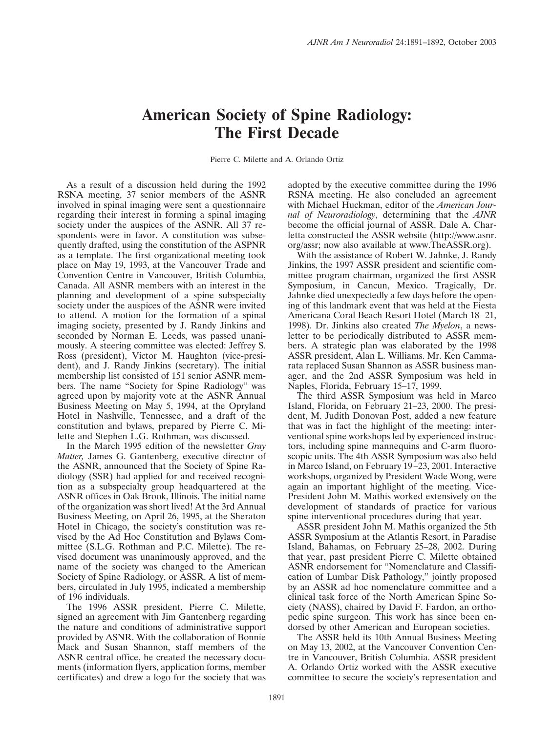## **American Society of Spine Radiology: The First Decade**

Pierre C. Milette and A. Orlando Ortiz

As a result of a discussion held during the 1992 RSNA meeting, 37 senior members of the ASNR involved in spinal imaging were sent a questionnaire regarding their interest in forming a spinal imaging society under the auspices of the ASNR. All 37 respondents were in favor. A constitution was subsequently drafted, using the constitution of the ASPNR as a template. The first organizational meeting took place on May 19, 1993, at the Vancouver Trade and Convention Centre in Vancouver, British Columbia, Canada. All ASNR members with an interest in the planning and development of a spine subspecialty society under the auspices of the ASNR were invited to attend. A motion for the formation of a spinal imaging society, presented by J. Randy Jinkins and seconded by Norman E. Leeds, was passed unanimously. A steering committee was elected: Jeffrey S. Ross (president), Victor M. Haughton (vice-president), and J. Randy Jinkins (secretary). The initial membership list consisted of 151 senior ASNR members. The name "Society for Spine Radiology" was agreed upon by majority vote at the ASNR Annual Business Meeting on May 5, 1994, at the Opryland Hotel in Nashville, Tennessee, and a draft of the constitution and bylaws, prepared by Pierre C. Milette and Stephen L.G. Rothman, was discussed.

In the March 1995 edition of the newsletter *Gray Matter,* James G. Gantenberg, executive director of the ASNR, announced that the Society of Spine Radiology (SSR) had applied for and received recognition as a subspecialty group headquartered at the ASNR offices in Oak Brook, Illinois. The initial name of the organization was short lived! At the 3rd Annual Business Meeting, on April 26, 1995, at the Sheraton Hotel in Chicago, the society's constitution was revised by the Ad Hoc Constitution and Bylaws Committee (S.L.G. Rothman and P.C. Milette). The revised document was unanimously approved, and the name of the society was changed to the American Society of Spine Radiology, or ASSR. A list of members, circulated in July 1995, indicated a membership of 196 individuals.

The 1996 ASSR president, Pierre C. Milette, signed an agreement with Jim Gantenberg regarding the nature and conditions of administrative support provided by ASNR. With the collaboration of Bonnie Mack and Susan Shannon, staff members of the ASNR central office, he created the necessary documents (information flyers, application forms, member certificates) and drew a logo for the society that was

adopted by the executive committee during the 1996 RSNA meeting. He also concluded an agreement with Michael Huckman, editor of the *American Journal of Neuroradiology*, determining that the *AJNR* become the official journal of ASSR. Dale A. Charletta constructed the ASSR website (http://www.asnr. org/assr; now also available at www.TheASSR.org).

With the assistance of Robert W. Jahnke, J. Randy Jinkins, the 1997 ASSR president and scientific committee program chairman, organized the first ASSR Symposium, in Cancun, Mexico. Tragically, Dr. Jahnke died unexpectedly a few days before the opening of this landmark event that was held at the Fiesta Americana Coral Beach Resort Hotel (March 18 –21, 1998). Dr. Jinkins also created *The Myelon*, a newsletter to be periodically distributed to ASSR members. A strategic plan was elaborated by the 1998 ASSR president, Alan L. Williams. Mr. Ken Cammarata replaced Susan Shannon as ASSR business manager, and the 2nd ASSR Symposium was held in Naples, Florida, February 15–17, 1999.

The third ASSR Symposium was held in Marco Island, Florida, on February 21–23, 2000. The president, M. Judith Donovan Post, added a new feature that was in fact the highlight of the meeting: interventional spine workshops led by experienced instructors, including spine mannequins and C-arm fluoroscopic units. The 4th ASSR Symposium was also held in Marco Island, on February 19 –23, 2001. Interactive workshops, organized by President Wade Wong, were again an important highlight of the meeting. Vice-President John M. Mathis worked extensively on the development of standards of practice for various spine interventional procedures during that year.

ASSR president John M. Mathis organized the 5th ASSR Symposium at the Atlantis Resort, in Paradise Island, Bahamas, on February 25–28, 2002. During that year, past president Pierre C. Milette obtained ASNR endorsement for "Nomenclature and Classification of Lumbar Disk Pathology," jointly proposed by an ASSR ad hoc nomenclature committee and a clinical task force of the North American Spine Society (NASS), chaired by David F. Fardon, an orthopedic spine surgeon. This work has since been endorsed by other American and European societies.

The ASSR held its 10th Annual Business Meeting on May 13, 2002, at the Vancouver Convention Centre in Vancouver, British Columbia. ASSR president A. Orlando Ortiz worked with the ASSR executive committee to secure the society's representation and